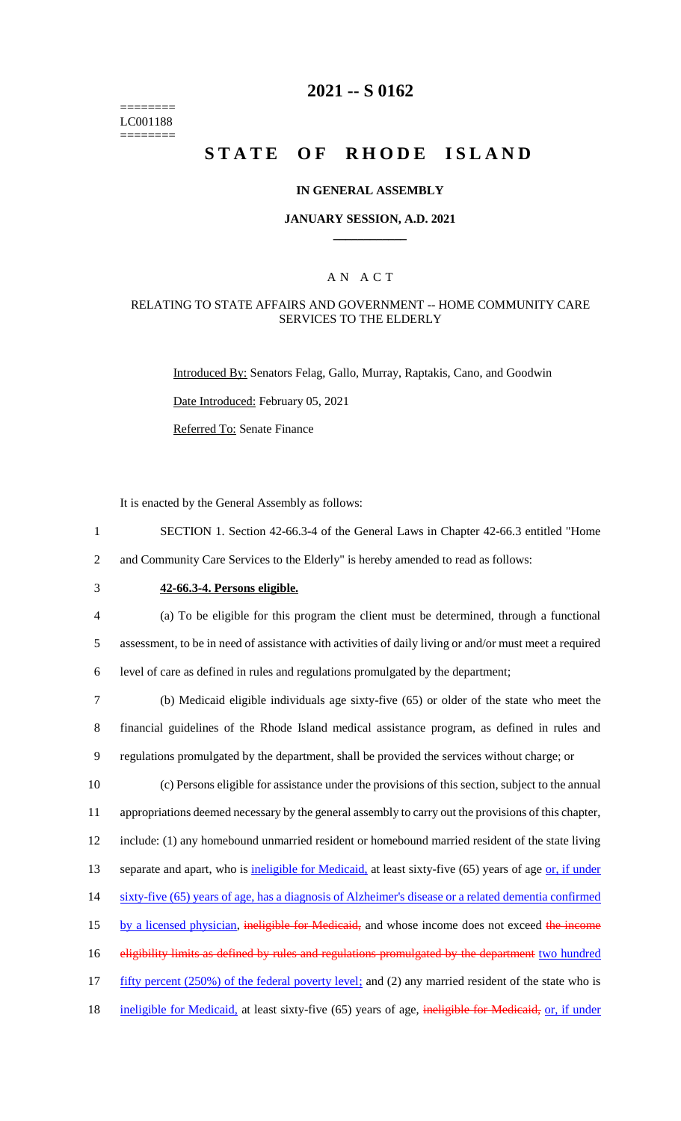======== LC001188 ========

## **2021 -- S 0162**

# **STATE OF RHODE ISLAND**

#### **IN GENERAL ASSEMBLY**

#### **JANUARY SESSION, A.D. 2021 \_\_\_\_\_\_\_\_\_\_\_\_**

### A N A C T

### RELATING TO STATE AFFAIRS AND GOVERNMENT -- HOME COMMUNITY CARE SERVICES TO THE ELDERLY

Introduced By: Senators Felag, Gallo, Murray, Raptakis, Cano, and Goodwin

Date Introduced: February 05, 2021

Referred To: Senate Finance

It is enacted by the General Assembly as follows:

- 1 SECTION 1. Section 42-66.3-4 of the General Laws in Chapter 42-66.3 entitled "Home 2 and Community Care Services to the Elderly" is hereby amended to read as follows:
- 

## 3 **42-66.3-4. Persons eligible.**

4 (a) To be eligible for this program the client must be determined, through a functional 5 assessment, to be in need of assistance with activities of daily living or and/or must meet a required 6 level of care as defined in rules and regulations promulgated by the department;

7 (b) Medicaid eligible individuals age sixty-five (65) or older of the state who meet the 8 financial guidelines of the Rhode Island medical assistance program, as defined in rules and 9 regulations promulgated by the department, shall be provided the services without charge; or

10 (c) Persons eligible for assistance under the provisions of this section, subject to the annual 11 appropriations deemed necessary by the general assembly to carry out the provisions of this chapter, 12 include: (1) any homebound unmarried resident or homebound married resident of the state living 13 separate and apart, who is ineligible for Medicaid, at least sixty-five (65) years of age or, if under 14 sixty-five (65) years of age, has a diagnosis of Alzheimer's disease or a related dementia confirmed 15 by a licensed physician, ineligible for Medicaid, and whose income does not exceed the income 16 eligibility limits as defined by rules and regulations promulgated by the department two hundred 17 fifty percent (250%) of the federal poverty level; and (2) any married resident of the state who is 18 ineligible for Medicaid, at least sixty-five (65) years of age, ineligible for Medicaid, or, if under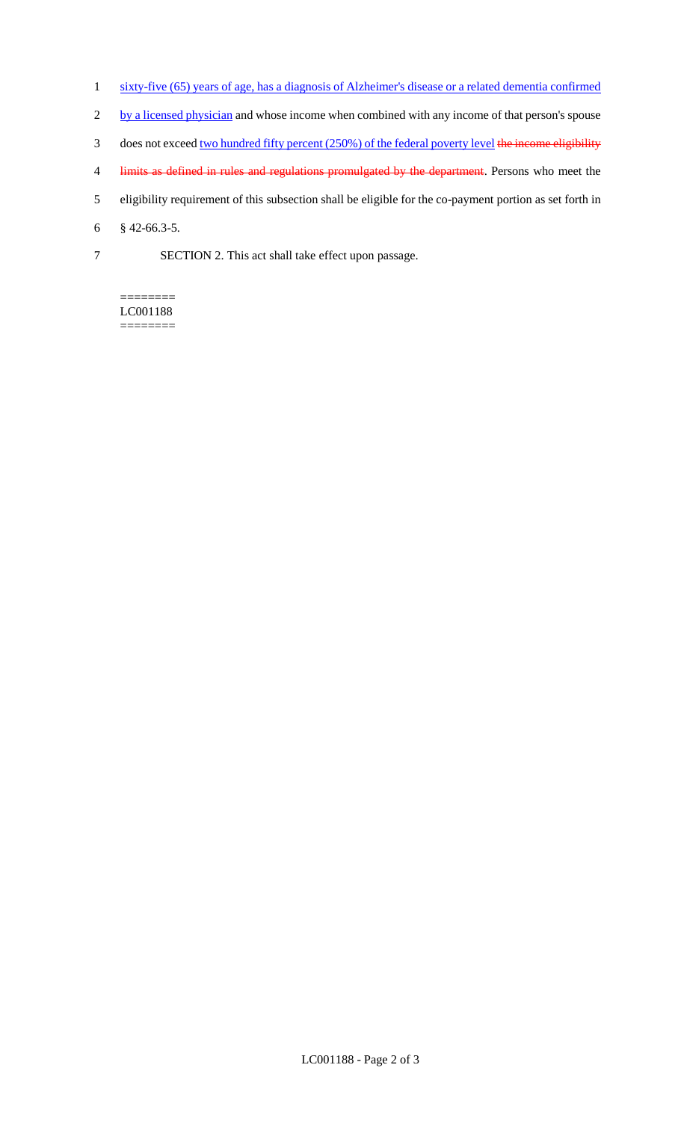- 1 sixty-five (65) years of age, has a diagnosis of Alzheimer's disease or a related dementia confirmed
- 2 by a licensed physician and whose income when combined with any income of that person's spouse
- 3 does not exceed two hundred fifty percent (250%) of the federal poverty level the income eligibility
- 4 limits as defined in rules and regulations promulgated by the department. Persons who meet the
- 5 eligibility requirement of this subsection shall be eligible for the co-payment portion as set forth in
- 6 § 42-66.3-5.
- 7 SECTION 2. This act shall take effect upon passage.

#### ======== LC001188 ========